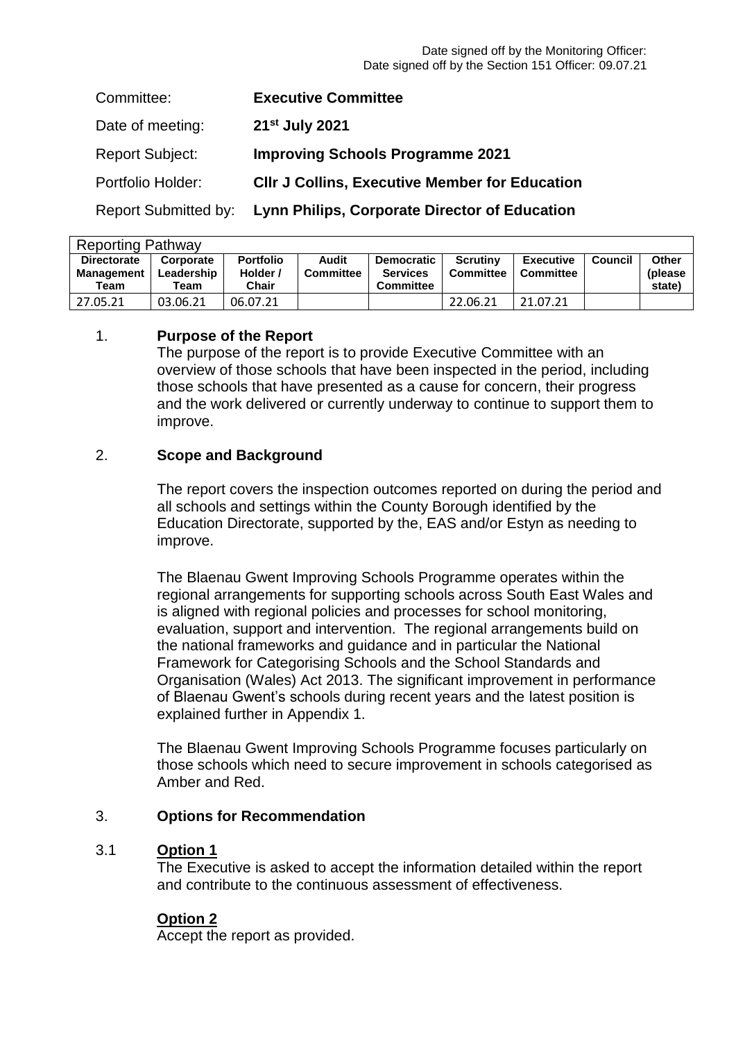| Committee:                  | <b>Executive Committee</b>                            |
|-----------------------------|-------------------------------------------------------|
| Date of meeting:            | 21 <sup>st</sup> July 2021                            |
| <b>Report Subject:</b>      | <b>Improving Schools Programme 2021</b>               |
| Portfolio Holder:           | <b>CIIr J Collins, Executive Member for Education</b> |
| <b>Report Submitted by:</b> | Lynn Philips, Corporate Director of Education         |

| <b>Reporting Pathway</b>                |                         |                              |                           |                                      |                                     |                               |         |                          |  |  |
|-----------------------------------------|-------------------------|------------------------------|---------------------------|--------------------------------------|-------------------------------------|-------------------------------|---------|--------------------------|--|--|
| <b>Directorate</b><br><b>Management</b> | Corporate<br>Leadership | <b>Portfolio</b><br>Holder / | Audit<br><b>Committee</b> | <b>Democratic</b><br><b>Services</b> | <b>Scrutiny</b><br><b>Committee</b> | <b>Executive</b><br>Committee | Council | <b>Other</b><br>(please) |  |  |
| Team                                    | $\tau$ eam              | Chair                        |                           | <b>Committee</b>                     |                                     |                               |         | state)                   |  |  |
| 27.05.21                                | 03.06.21                | 06.07.21                     |                           |                                      | 22.06.21                            | 21.07.21                      |         |                          |  |  |

### 1. **Purpose of the Report**

The purpose of the report is to provide Executive Committee with an overview of those schools that have been inspected in the period, including those schools that have presented as a cause for concern, their progress and the work delivered or currently underway to continue to support them to improve.

### 2. **Scope and Background**

The report covers the inspection outcomes reported on during the period and all schools and settings within the County Borough identified by the Education Directorate, supported by the, EAS and/or Estyn as needing to improve.

The Blaenau Gwent Improving Schools Programme operates within the regional arrangements for supporting schools across South East Wales and is aligned with regional policies and processes for school monitoring, evaluation, support and intervention. The regional arrangements build on the national frameworks and guidance and in particular the National Framework for Categorising Schools and the School Standards and Organisation (Wales) Act 2013. The significant improvement in performance of Blaenau Gwent's schools during recent years and the latest position is explained further in Appendix 1.

The Blaenau Gwent Improving Schools Programme focuses particularly on those schools which need to secure improvement in schools categorised as Amber and Red.

### 3. **Options for Recommendation**

### 3.1 **Option 1**

The Executive is asked to accept the information detailed within the report and contribute to the continuous assessment of effectiveness.

### **Option 2**

Accept the report as provided.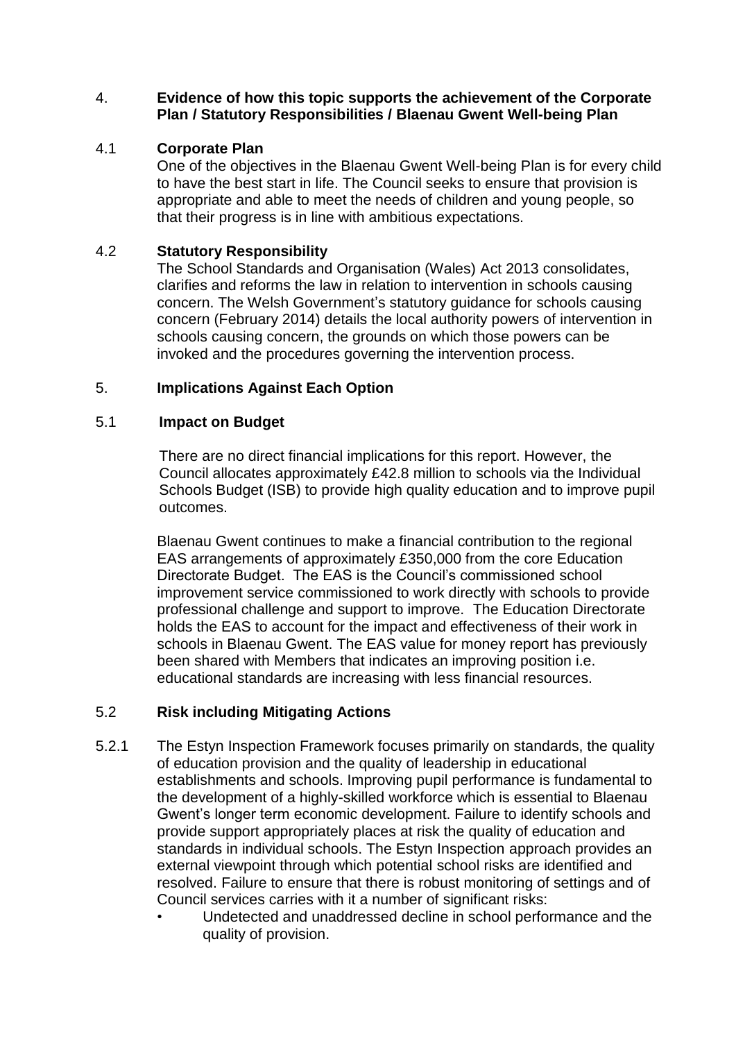### 4. **Evidence of how this topic supports the achievement of the Corporate Plan / Statutory Responsibilities / Blaenau Gwent Well-being Plan**

#### 4.1 **Corporate Plan**

One of the objectives in the Blaenau Gwent Well-being Plan is for every child to have the best start in life. The Council seeks to ensure that provision is appropriate and able to meet the needs of children and young people, so that their progress is in line with ambitious expectations.

#### 4.2 **Statutory Responsibility**

The School Standards and Organisation (Wales) Act 2013 consolidates, clarifies and reforms the law in relation to intervention in schools causing concern. The Welsh Government's statutory guidance for schools causing concern (February 2014) details the local authority powers of intervention in schools causing concern, the grounds on which those powers can be invoked and the procedures governing the intervention process.

### 5. **Implications Against Each Option**

### 5.1 **Impact on Budget**

There are no direct financial implications for this report. However, the Council allocates approximately £42.8 million to schools via the Individual Schools Budget (ISB) to provide high quality education and to improve pupil outcomes.

Blaenau Gwent continues to make a financial contribution to the regional EAS arrangements of approximately £350,000 from the core Education Directorate Budget. The EAS is the Council's commissioned school improvement service commissioned to work directly with schools to provide professional challenge and support to improve. The Education Directorate holds the EAS to account for the impact and effectiveness of their work in schools in Blaenau Gwent. The EAS value for money report has previously been shared with Members that indicates an improving position i.e. educational standards are increasing with less financial resources.

#### 5.2 **Risk including Mitigating Actions**

- 5.2.1 The Estyn Inspection Framework focuses primarily on standards, the quality of education provision and the quality of leadership in educational establishments and schools. Improving pupil performance is fundamental to the development of a highly-skilled workforce which is essential to Blaenau Gwent's longer term economic development. Failure to identify schools and provide support appropriately places at risk the quality of education and standards in individual schools. The Estyn Inspection approach provides an external viewpoint through which potential school risks are identified and resolved. Failure to ensure that there is robust monitoring of settings and of Council services carries with it a number of significant risks:
	- Undetected and unaddressed decline in school performance and the quality of provision.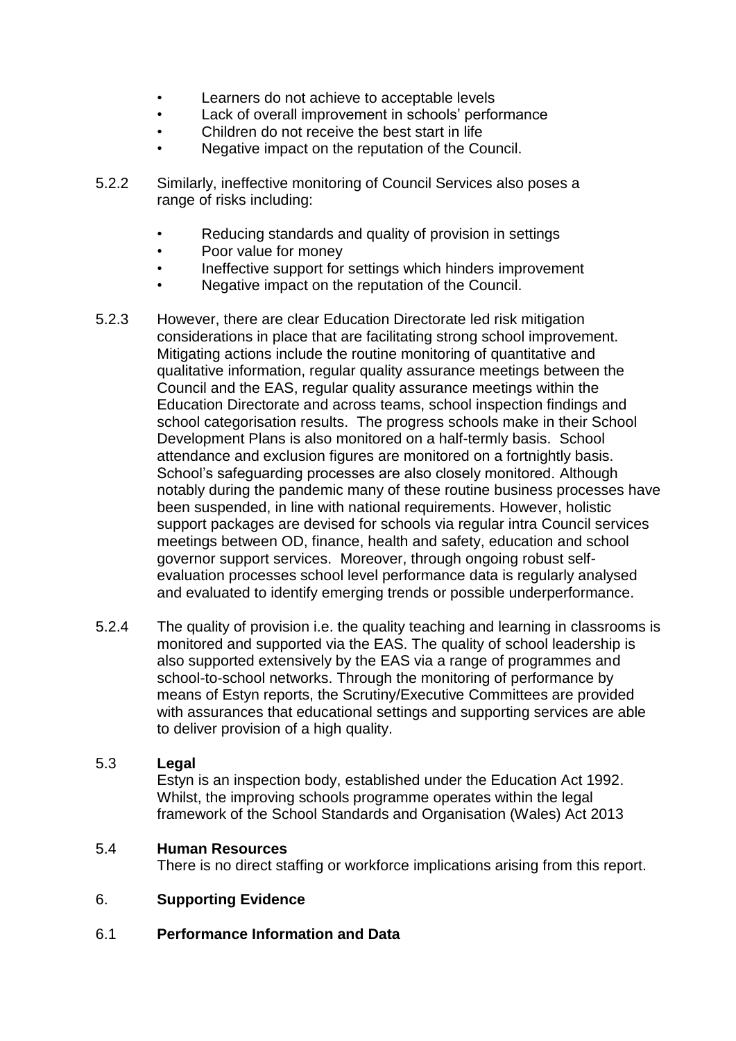- Learners do not achieve to acceptable levels
- Lack of overall improvement in schools' performance
- Children do not receive the best start in life
- Negative impact on the reputation of the Council.
- 5.2.2 Similarly, ineffective monitoring of Council Services also poses a range of risks including:
	- Reducing standards and quality of provision in settings
	- Poor value for money
	- Ineffective support for settings which hinders improvement
	- Negative impact on the reputation of the Council.
- 5.2.3 However, there are clear Education Directorate led risk mitigation considerations in place that are facilitating strong school improvement. Mitigating actions include the routine monitoring of quantitative and qualitative information, regular quality assurance meetings between the Council and the EAS, regular quality assurance meetings within the Education Directorate and across teams, school inspection findings and school categorisation results. The progress schools make in their School Development Plans is also monitored on a half-termly basis. School attendance and exclusion figures are monitored on a fortnightly basis. School's safeguarding processes are also closely monitored. Although notably during the pandemic many of these routine business processes have been suspended, in line with national requirements. However, holistic support packages are devised for schools via regular intra Council services meetings between OD, finance, health and safety, education and school governor support services. Moreover, through ongoing robust selfevaluation processes school level performance data is regularly analysed and evaluated to identify emerging trends or possible underperformance.
- 5.2.4 The quality of provision i.e. the quality teaching and learning in classrooms is monitored and supported via the EAS. The quality of school leadership is also supported extensively by the EAS via a range of programmes and school-to-school networks. Through the monitoring of performance by means of Estyn reports, the Scrutiny/Executive Committees are provided with assurances that educational settings and supporting services are able to deliver provision of a high quality.

### 5.3 **Legal**

Estyn is an inspection body, established under the Education Act 1992. Whilst, the improving schools programme operates within the legal framework of the School Standards and Organisation (Wales) Act 2013

### 5.4 **Human Resources**

There is no direct staffing or workforce implications arising from this report.

### 6. **Supporting Evidence**

### 6.1 **Performance Information and Data**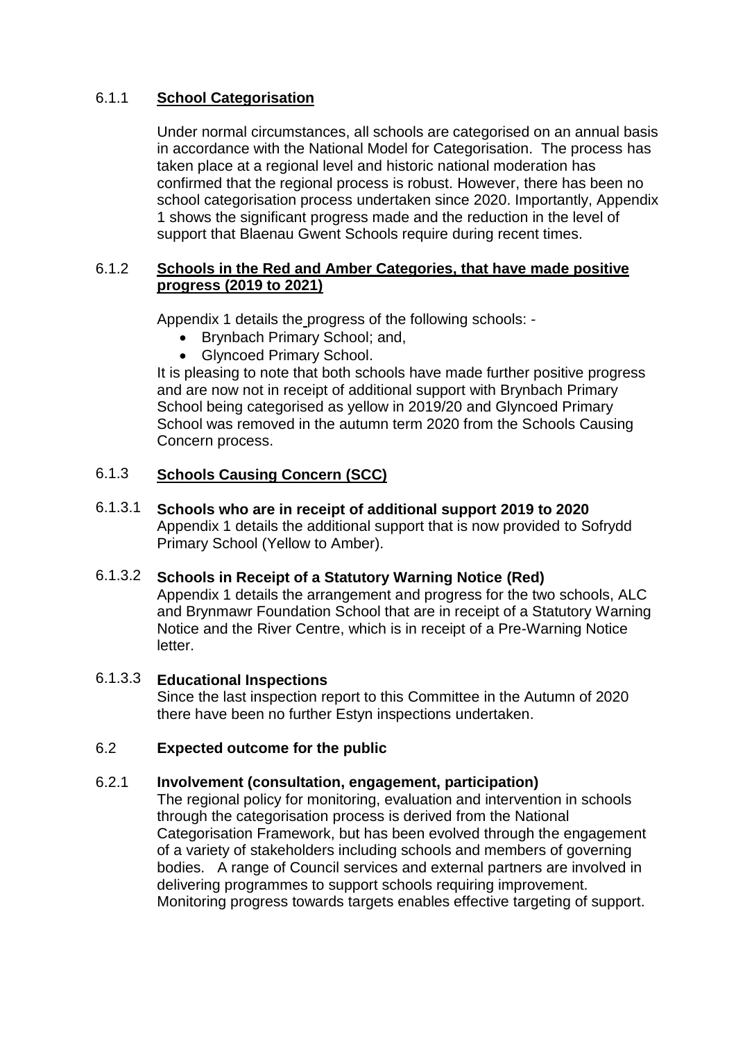#### 6.1.1 **School Categorisation**

Under normal circumstances, all schools are categorised on an annual basis in accordance with the National Model for Categorisation. The process has taken place at a regional level and historic national moderation has confirmed that the regional process is robust. However, there has been no school categorisation process undertaken since 2020. Importantly, Appendix 1 shows the significant progress made and the reduction in the level of support that Blaenau Gwent Schools require during recent times.

### 6.1.2 **Schools in the Red and Amber Categories, that have made positive progress (2019 to 2021)**

Appendix 1 details the progress of the following schools: -

- Brynbach Primary School; and,
- Glyncoed Primary School.

It is pleasing to note that both schools have made further positive progress and are now not in receipt of additional support with Brynbach Primary School being categorised as yellow in 2019/20 and Glyncoed Primary School was removed in the autumn term 2020 from the Schools Causing Concern process.

#### 6.1.3 **Schools Causing Concern (SCC)**

6.1.3.1 **Schools who are in receipt of additional support 2019 to 2020** Appendix 1 details the additional support that is now provided to Sofrydd Primary School (Yellow to Amber).

### 6.1.3.2 **Schools in Receipt of a Statutory Warning Notice (Red)** Appendix 1 details the arrangement and progress for the two schools, ALC and Brynmawr Foundation School that are in receipt of a Statutory Warning Notice and the River Centre, which is in receipt of a Pre-Warning Notice letter.

# 6.1.3.3 **Educational Inspections**

Since the last inspection report to this Committee in the Autumn of 2020 there have been no further Estyn inspections undertaken.

# 6.2 **Expected outcome for the public**

# 6.2.1 **Involvement (consultation, engagement, participation)**

The regional policy for monitoring, evaluation and intervention in schools through the categorisation process is derived from the National Categorisation Framework, but has been evolved through the engagement of a variety of stakeholders including schools and members of governing bodies. A range of Council services and external partners are involved in delivering programmes to support schools requiring improvement. Monitoring progress towards targets enables effective targeting of support.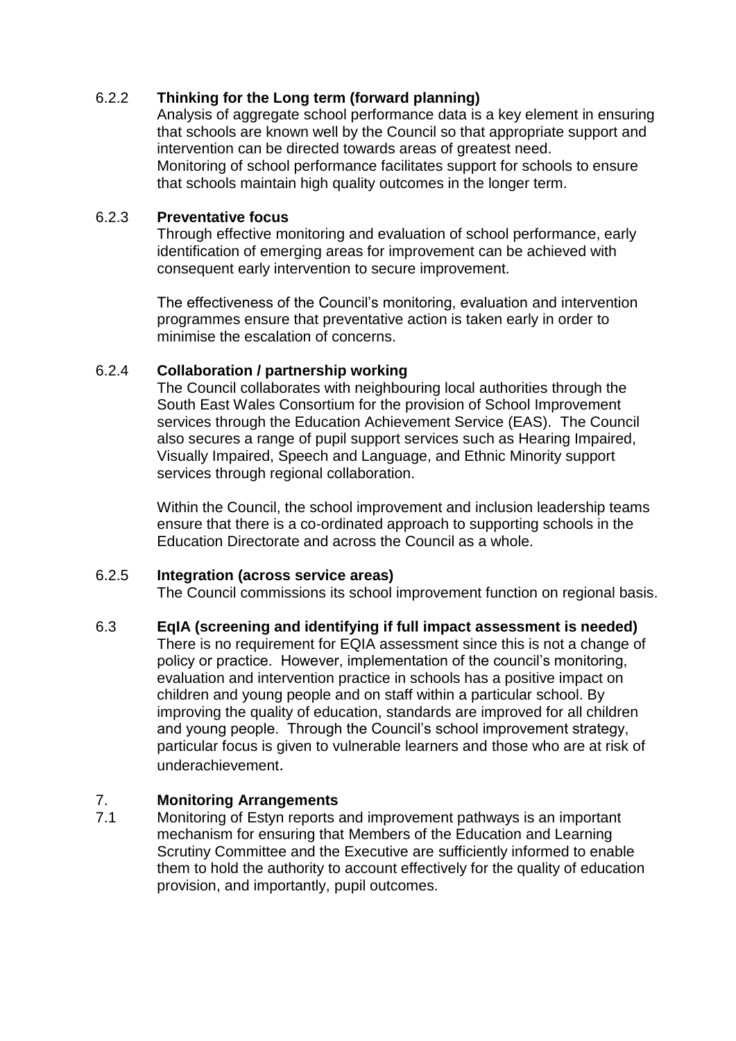# 6.2.2 **Thinking for the Long term (forward planning)**

Analysis of aggregate school performance data is a key element in ensuring that schools are known well by the Council so that appropriate support and intervention can be directed towards areas of greatest need. Monitoring of school performance facilitates support for schools to ensure that schools maintain high quality outcomes in the longer term.

### 6.2.3 **Preventative focus**

Through effective monitoring and evaluation of school performance, early identification of emerging areas for improvement can be achieved with consequent early intervention to secure improvement.

The effectiveness of the Council's monitoring, evaluation and intervention programmes ensure that preventative action is taken early in order to minimise the escalation of concerns.

### 6.2.4 **Collaboration / partnership working**

The Council collaborates with neighbouring local authorities through the South East Wales Consortium for the provision of School Improvement services through the Education Achievement Service (EAS). The Council also secures a range of pupil support services such as Hearing Impaired, Visually Impaired, Speech and Language, and Ethnic Minority support services through regional collaboration.

Within the Council, the school improvement and inclusion leadership teams ensure that there is a co-ordinated approach to supporting schools in the Education Directorate and across the Council as a whole.

# 6.2.5 **Integration (across service areas)**

The Council commissions its school improvement function on regional basis.

### 6.3 **EqIA (screening and identifying if full impact assessment is needed)**

There is no requirement for EQIA assessment since this is not a change of policy or practice. However, implementation of the council's monitoring, evaluation and intervention practice in schools has a positive impact on children and young people and on staff within a particular school. By improving the quality of education, standards are improved for all children and young people. Through the Council's school improvement strategy, particular focus is given to vulnerable learners and those who are at risk of underachievement.

# 7. **Monitoring Arrangements**

7.1 Monitoring of Estyn reports and improvement pathways is an important mechanism for ensuring that Members of the Education and Learning Scrutiny Committee and the Executive are sufficiently informed to enable them to hold the authority to account effectively for the quality of education provision, and importantly, pupil outcomes.